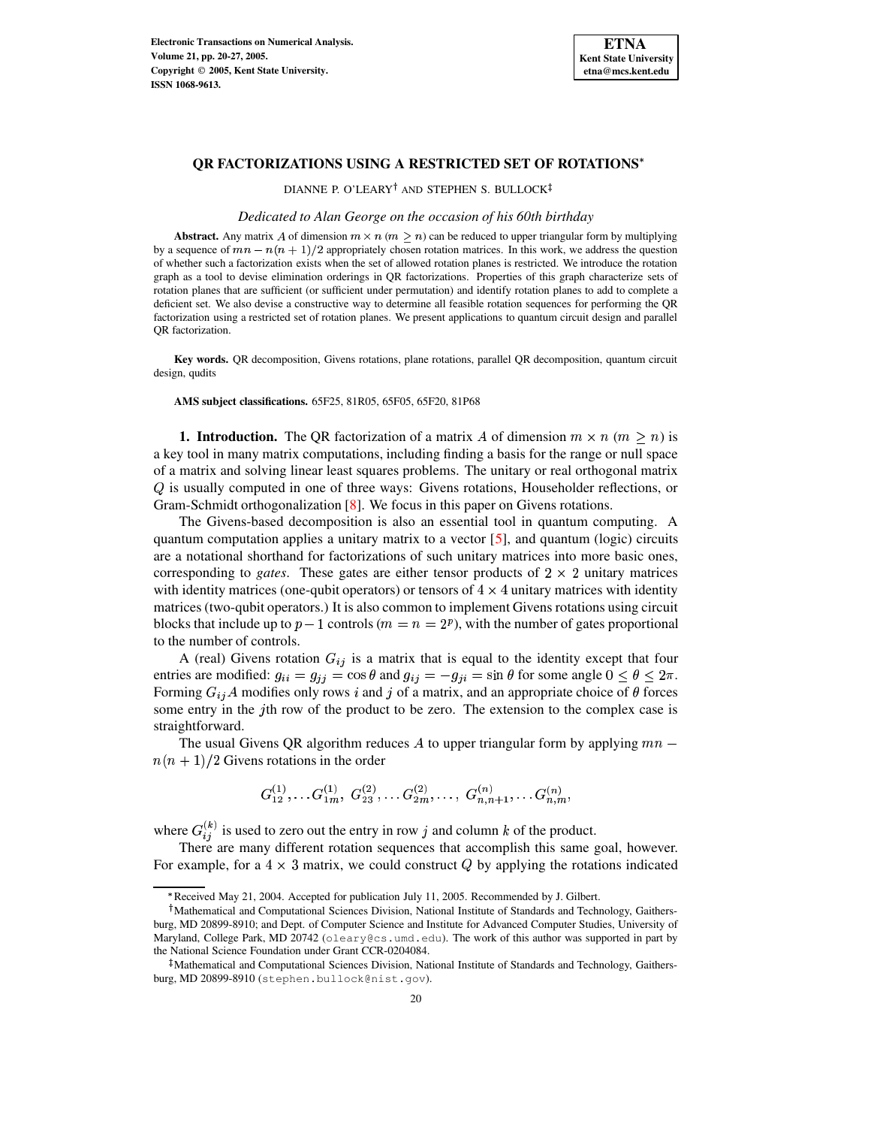

## **QR FACTORIZATIONS USING A RESTRICTED SET OF ROTATIONS**

DIANNE P. O'LEARY<sup>†</sup> AND STEPHEN S. BULLOCK

### *Dedicated to Alan George on the occasion of his 60th birthday*

**Abstract.** Any matrix A of dimension  $m \times n$  ( $m \geq n$ ) can be reduced to upper triangular form by multiplying by a sequence of  $mn - n(n + 1)/2$  appropriately chosen rotation matrices. In this work, we address the question of whether such a factorization exists when the set of allowed rotation planes is restricted. We introduce the rotation graph as a tool to devise elimination orderings in QR factorizations. Properties of this graph characterize sets of rotation planes that are sufficient (or sufficient under permutation) and identify rotation planes to add to complete a deficient set. We also devise a constructive way to determine all feasible rotation sequences for performing the QR factorization using a restricted set of rotation planes. We present applications to quantum circuit design and parallel OR factorization.

**Key words.** QR decomposition, Givens rotations, plane rotations, parallel QR decomposition, quantum circuit design, qudits

**AMS subject classifications.** 65F25, 81R05, 65F05, 65F20, 81P68

**1. Introduction.** The QR factorization of a matrix A of dimension  $m \times n$  ( $m \ge n$ ) is a key tool in many matrix computations, including finding a basis for the range or null space of a matrix and solving linear least squares problems. The unitary or real orthogonal matrix  $Q$  is usually computed in one of three ways: Givens rotations, Householder reflections, or Gram-Schmidt orthogonalization [\[8\]](#page-7-0). We focus in this paper on Givens rotations.

The Givens-based decomposition is also an essential tool in quantum computing. A quantum computation applies a unitary matrix to a vector  $[5]$ , and quantum (logic) circuits are a notational shorthand for factorizations of such unitary matrices into more basic ones, corresponding to *gates*. These gates are either tensor products of  $2 \times 2$  unitary matrices with identity matrices (one-qubit operators) or tensors of  $4 \times 4$  unitary matrices with identity matrices (two-qubit operators.) It is also common to implement Givens rotations using circuit blocks that include up to  $p-1$  controls ( $m=n=2<sup>p</sup>$ ), with the number of gates proportional to the number of controls.

A (real) Givens rotation  $G_{ij}$  is a matrix that is equal to the identity except that four entries are modified:  $g_{ii} = g_{jj} = \cos \theta$  and  $g_{ij} = -g_{ji} = \sin \theta$  for some angle  $0 \le \theta \le 2\pi$ . Forming  $G_{ij}A$  modifies only rows i and j of a matrix, and an appropriate choice of  $\theta$  forces some entry in the  $j$ th row of the product to be zero. The extension to the complex case is straightforward.

The usual Givens QR algorithm reduces A to upper triangular form by applying  $mn$  $n(n+1)/2$  Givens rotations in the order

$$
G_{12}^{(1)},\ldots G_{1m}^{(1)},\,\, G_{23}^{(2)},\ldots G_{2m}^{(2)},\ldots,\,\, G_{n,n+1}^{(n)},\ldots G_{n,m}^{(n)},
$$

where  $G_{ij}^{(k)}$  is used to zero out the entry in row j and column k of the product.

There are many different rotation sequences that accomplish this same goal, however. For example, for a  $4 \times 3$  matrix, we could construct Q by applying the rotations indicated

<sup>{</sup> Received May 21, 2004. Accepted for publication July 11, 2005. Recommended by J. Gilbert.

<sup>&</sup>lt;sup>†</sup>Mathematical and Computational Sciences Division, National Institute of Standards and Technology, Gaithersburg, MD 20899-8910; and Dept. of Computer Science and Institute for Advanced Computer Studies, University of Maryland, College Park, MD 20742 (oleary@cs.umd.edu). The work of this author was supported in part by the National Science Foundation under Grant CCR-0204084.

<sup>-</sup> Mathematical and Computational Sciences Division, National Institute of Standards and Technology, Gaithersburg, MD 20899-8910 (stephen.bullock@nist.gov).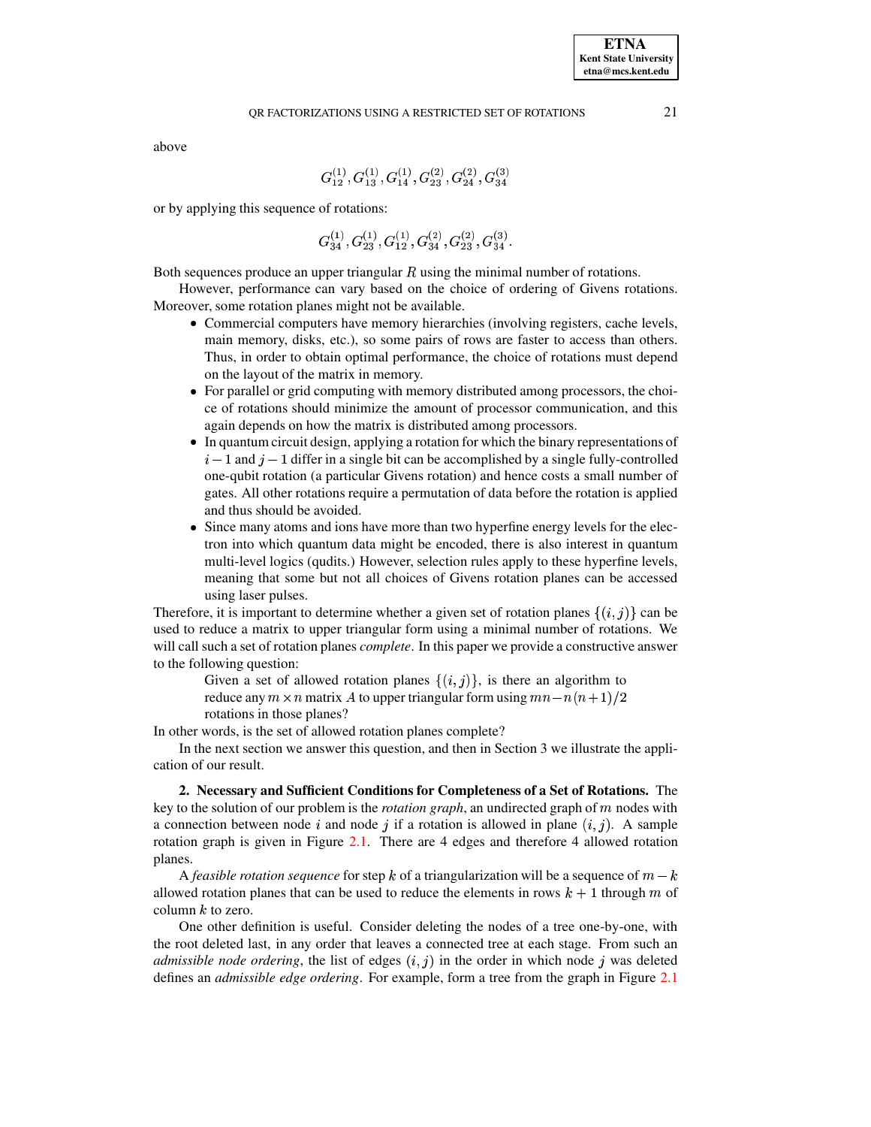# QR FACTORIZATIONS USING A RESTRICTED SET OF ROTATIONS 21

above

$$
\,G_{12}^{(1)}, G_{13}^{(1)}, G_{14}^{(1)}, G_{23}^{(2)}, G_{24}^{(2)}, G_{34}^{(3)}
$$

or by applying this sequence of rotations:

$$
G_{34}^{(1)}, G_{23}^{(1)}, G_{12}^{(1)}, G_{34}^{(2)}, G_{23}^{(2)}, G_{34}^{(3)}.\nonumber\\
$$

Both sequences produce an upper triangular  $R$  using the minimal number of rotations.

However, performance can vary based on the choice of ordering of Givens rotations. Moreover, some rotation planes might not be available.

- Commercial computers have memory hierarchies (involving registers, cache levels, main memory, disks, etc.), so some pairs of rows are faster to access than others. Thus, in order to obtain optimal performance, the choice of rotations must depend on the layout of the matrix in memory.
- For parallel or grid computing with memory distributed among processors, the choice of rotations should minimize the amount of processor communication, and this again depends on how the matrix is distributed among processors.
- In quantum circuit design, applying a rotation for which the binary representations of  $i-1$  and  $j-1$  differ in a single bit can be accomplished by a single fully-controlled one-qubit rotation (a particular Givens rotation) and hence costs a small number of gates. All other rotations require a permutation of data before the rotation is applied and thus should be avoided.
- Since many atoms and ions have more than two hyperfine energy levels for the electron into which quantum data might be encoded, there is also interest in quantum multi-level logics (qudits.) However, selection rules apply to these hyperfine levels, meaning that some but not all choices of Givens rotation planes can be accessed using laser pulses.

Therefore, it is important to determine whether a given set of rotation planes  $\{(i, j)\}$  can be used to reduce a matrix to upper triangular form using a minimal number of rotations. We will call such a set of rotation planes *complete*. In this paper we provide a constructive answer to the following question:

Given a set of allowed rotation planes  $\{(i,j)\}$ , is there an algorithm to reduce any  $m \times n$  matrix A to upper triangular form using  $mn - n(n+1)/2$ rotations in those planes?

In other words, is the set of allowed rotation planes complete?

In the next section we answer this question, and then in Section 3 we illustrate the application of our result.

**2. Necessary and Sufficient Conditions for Completeness of a Set of Rotations.** The key to the solution of our problem is the *rotation graph*, an undirected graph of nodes with a connection between node i and node j if a rotation is allowed in plane  $(i, j)$ . A sample rotation graph is given in Figure [2.1.](#page-2-0) There are 4 edges and therefore 4 allowed rotation planes.

A *feasible rotation sequence* for step k of a triangularization will be a sequence of  $m - k$ allowed rotation planes that can be used to reduce the elements in rows  $k+1$  through m of column  $k$  to zero.

One other definition is useful. Consider deleting the nodes of a tree one-by-one, with the root deleted last, in any order that leaves a connected tree at each stage. From such an *admissible node ordering*, the list of edges  $(i, j)$  in the order in which node j was deleted defines an admissible advantaging For properly farm a tree from the graph in Figure 2.1 defines an *admissible edge ordering*. For example, form a tree from the graph in Figure [2.1](#page-2-0)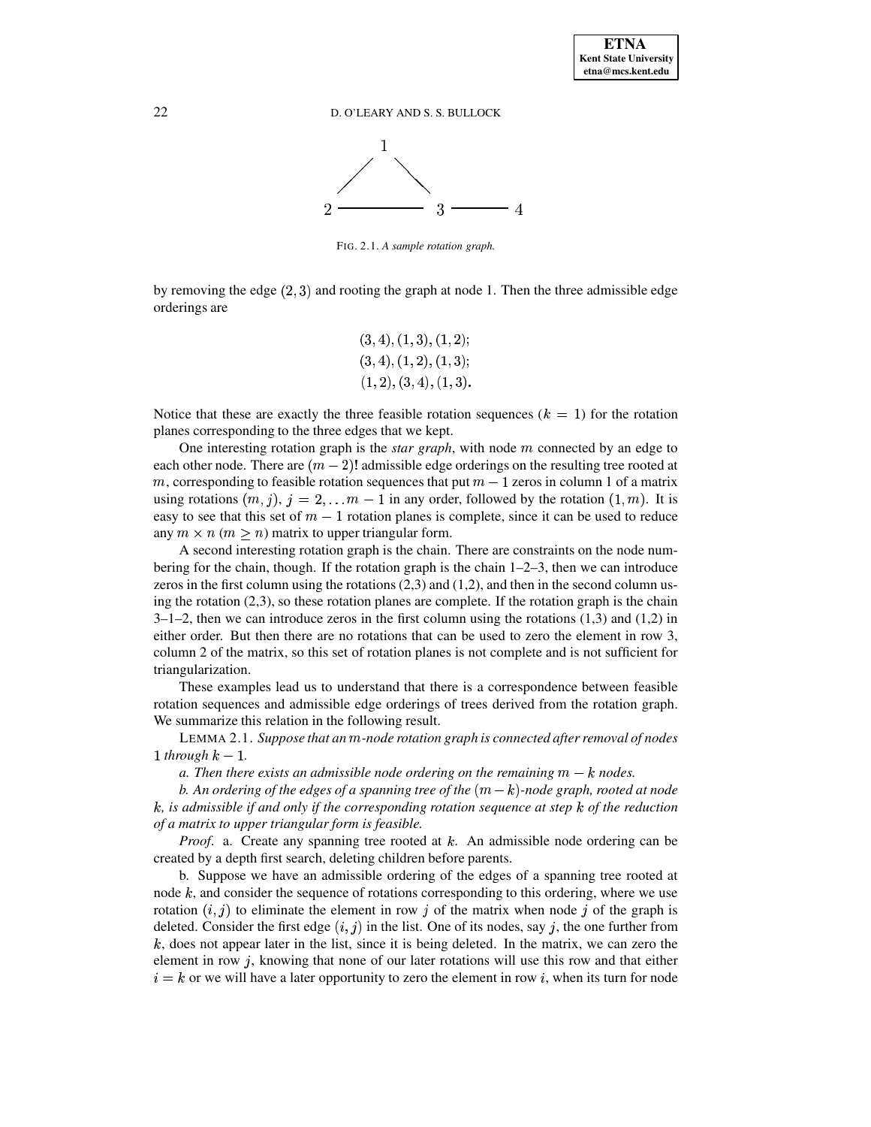## 22 D. O'LEARY AND S. S. BULLOCK



<span id="page-2-0"></span>FIG. 2.1. *A sample rotation graph.*

by removing the edge  $(2, 3)$  and rooting the graph at node 1. Then the three admissible edge and relations are orderings are

$$
(3, 4), (1, 3), (1, 2);\\ (3, 4), (1, 2), (1, 3);\\ (1, 2), (3, 4), (1, 3).
$$

Notice that these are exactly the three feasible rotation sequences  $(k = 1)$  for the rotation planes corresponding to the three edges that we kept.

One interesting rotation graph is the *star graph*, with node  $m$  connected by an edge to each other node. There are  $(m-2)!$  admissible edge orderings on the resulting tree rooted at m, corresponding to feasible rotation sequences that put  $m-1$  zeros in column 1 of a matrix using rotations  $(m, j)$ ,  $j = 2,... m - 1$  in any order, followed by the rotation  $(1, m)$ . It is easy to see that this set of  $m-1$  rotation planes is complete, since it can be used to reduce any  $m \times n$  ( $m \ge n$ ) matrix to upper triangular form.

A second interesting rotation graph is the chain. There are constraints on the node numbering for the chain, though. If the rotation graph is the chain  $1-2-3$ , then we can introduce zeros in the first column using the rotations  $(2,3)$  and  $(1,2)$ , and then in the second column using the rotation  $(2,3)$ , so these rotation planes are complete. If the rotation graph is the chain  $3-1-2$ , then we can introduce zeros in the first column using the rotations (1,3) and (1,2) in either order. But then there are no rotations that can be used to zero the element in row 3, column 2 of the matrix, so this set of rotation planes is not complete and is not sufficient for triangularization.

These examples lead us to understand that there is a correspondence between feasible rotation sequences and admissible edge orderings of trees derived from the rotation graph. We summarize this relation in the following result.

<span id="page-2-1"></span>LEMMA 2.1. *Suppose that an -node rotation graph is connected after removal of nodes* 1 *through*  $k-1$ .

*a.* Then there exists an admissible node ordering on the remaining  $m - k$  nodes.

*b.* An ordering of the edges of a spanning tree of the  $(m - k)$ -node graph, rooted at node <sup>x</sup>*, is admissible if and only if the corresponding rotation sequence at step* <sup>x</sup> *of the reduction of a matrix to upper triangular form is feasible.*

*Proof.* a. Create any spanning tree rooted at  $k$ . An admissible node ordering can be created by a depth first search, deleting children before parents.

b. Suppose we have an admissible ordering of the edges of a spanning tree rooted at node  $k$ , and consider the sequence of rotations corresponding to this ordering, where we use rotation  $(i, j)$  to eliminate the element in row j of the matrix when node j of the graph is deleted. Consider the first edge  $(i, j)$  in the list. One of its nodes, say j, the one further from  $k$ , does not appear later in the list, since it is being deleted. In the matrix, we can zero the element in row  $j$ , knowing that none of our later rotations will use this row and that either  $i = k$  or we will have a later opportunity to zero the element in row i, when its turn for node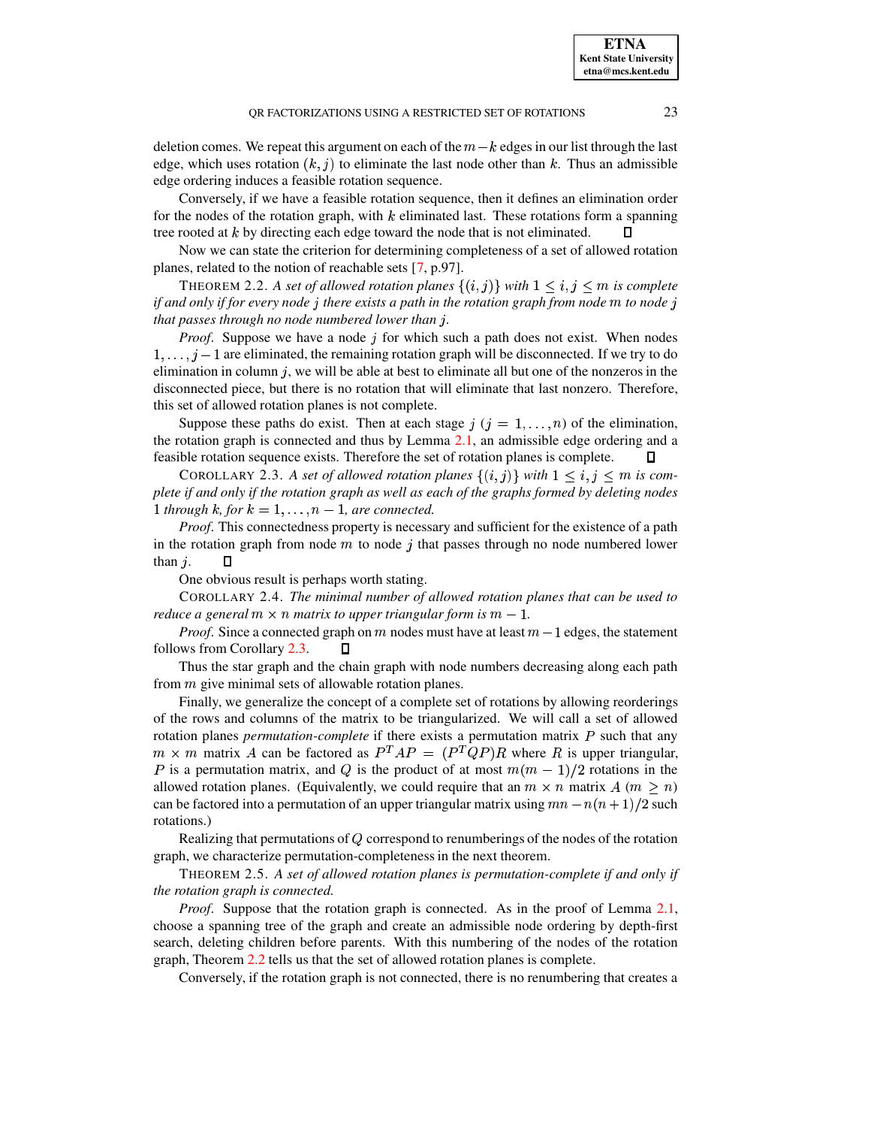deletion comes. We repeat this argument on each of the  $m-k$  edges in our list through the last edge, which uses rotation  $(k, j)$  to eliminate the last node other than k. Thus an admissible edge ordering induces a feasible rotation sequence.

Conversely, if we have a feasible rotation sequence, then it defines an elimination order for the nodes of the rotation graph, with  $k$  eliminated last. These rotations form a spanning tree rooted at  $k$  by directing each edge toward the node that is not eliminated.

<span id="page-3-1"></span>Now we can state the criterion for determining completeness of a set of allowed rotation planes, related to the notion of reachable sets [\[7,](#page-7-2) p.97].

THEOREM 2.2. *A set of allowed rotation planes*  $\{(i,j)\}$  *with*  $1 \le i, j \le m$  *is complete* if and only if for every node  $j$  there exists a path in the rotation graph from node  $m$  to node  $j$ *that* passes through no node numbered lower than j.

*Proof.* Suppose we have a node  $\dot{\jmath}$  for which such a path does not exist. When nodes  $1, \ldots, j-1$  are eliminated, the remaining rotation graph will be disconnected. If we try to do<br>climination in as humanism will be able at hart to aliminate all but any of the nanopara in the elimination in column  $i$ , we will be able at best to eliminate all but one of the nonzeros in the disconnected piece, but there is no rotation that will eliminate that last nonzero. Therefore, this set of allowed rotation planes is not complete.

Suppose these paths do exist. Then at each stage  $j$  ( $j = 1, \ldots, n$ ) of the elimination, the rotation graph is connected and thus by Lemma [2.1,](#page-2-1) an admissible edge ordering and a feasible rotation sequence exists. Therefore the set of rotation planes is complete.

<span id="page-3-0"></span>COROLLARY 2.3. A set of allowed rotation planes  $\{(i,j)\}$  with  $1 \leq i, j \leq m$  is com-<br>if and only if the patrtian couple group! group of the couple forms due deleting and conplete if and only if the rotation graph as well as each of the graphs formed by deleting nodes 1 *through*  $k$ *, for*  $k = 1, ..., n - 1$ *, are connected.* 

*Proof.* This connectedness property is necessary and sufficient for the existence of a path in the rotation graph from node  $m$  to node j that passes through no node numbered lower than  $j$ .  $\Box$ 

One obvious result is perhaps worth stating.

COROLLARY 2.4. *The minimal number of allowed rotation planes that can be used to reduce* a general  $m \times n$  *matrix* to upper *triangular* form is  $m - 1$ .

*Proof.* Since a connected graph on  $m$  nodes must have at least  $m-1$  edges, the statement follows from Corollary [2.3.](#page-3-0)  $\Box$ 

Thus the star graph and the chain graph with node numbers decreasing along each path from  $m$  give minimal sets of allowable rotation planes.

Finally, we generalize the concept of a complete set of rotations by allowing reorderings of the rows and columns of the matrix to be triangularized. We will call a set of allowed rotation planes *permutation-complete* if there exists a permutation matrix  $P$  such that any  $m \times m$  matrix A can be factored as  $P^{T}AP = (P^{T}QP)R$  where R is upper triangular, P is a permutation matrix, and Q is the product of at most  $m(m-1)/2$  rotations in the allowed rotation planes. (Equivalently, we could require that an  $m \times n$  matrix  $A$  ( $m \ge n$ ) can be factored into a permutation of an upper triangular matrix using  $mn - n(n + 1)/2$  such rotations.)

Realizing that permutations of  $Q$  correspond to renumberings of the nodes of the rotation graph, we characterize permutation-completeness in the next theorem.

THEOREM 2.5. *A set of allowed rotation planes is permutation-complete if and only if the rotation graph is connected.*

*Proof.* Suppose that the rotation graph is connected. As in the proof of Lemma [2.1,](#page-2-1) choose a spanning tree of the graph and create an admissible node ordering by depth-first search, deleting children before parents. With this numbering of the nodes of the rotation graph, Theorem [2.2](#page-3-1) tells us that the set of allowed rotation planes is complete.

Conversely, if the rotation graph is not connected, there is no renumbering that creates a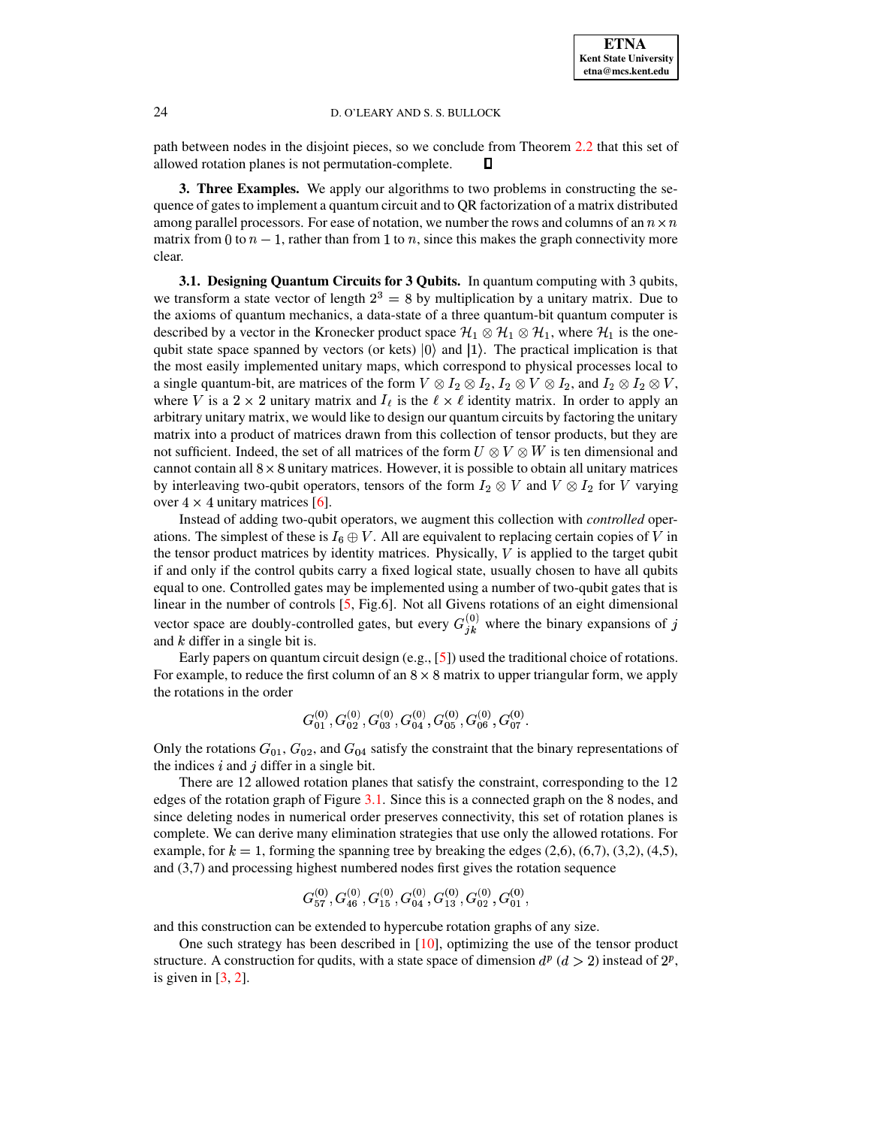#### 24 D. O'LEARY AND S. S. BULLOCK

path between nodes in the disjoint pieces, so we conclude from Theorem [2.2](#page-3-1) that this set of allowed rotation planes is not permutation-complete.  $\Box$ 

**3. Three Examples.** We apply our algorithms to two problems in constructing the sequence of gates to implement a quantum circuit and to QR factorization of a matrix distributed among parallel processors. For ease of notation, we number the rows and columns of an  $n \times n$ matrix from 0 to  $n-1$ , rather than from 1 to n, since this makes the graph connectivity more clear.

**3.1. Designing Quantum Circuits for 3 Qubits.** In quantum computing with 3 qubits, we transform a state vector of length  $2<sup>3</sup> = 8$  by multiplication by a unitary matrix. Due to the axioms of quantum mechanics, a data-state of a three quantum-bit quantum computer is described by a vector in the Kronecker product space  $\mathcal{H}_1 \otimes \mathcal{H}_1 \otimes \mathcal{H}_1$ , where  $\mathcal{H}_1$  is the onequbit state space spanned by vectors (or kets)  $|0\rangle$  and  $|1\rangle$ . The practical implication is that the most easily implemented unitary maps, which correspond to physical processes local to a single quantum-bit, are matrices of the form  $V \otimes I_2 \otimes I_2$ ,  $I_2 \otimes V \otimes I_2$ , and  $I_2 \otimes I_2 \otimes V$ , where V is a  $2 \times 2$  unitary matrix and  $I_{\ell}$  is the  $\ell \times \ell$  identity matrix. In order to apply an arbitrary unitary matrix, we would like to design our quantum circuits by factoring the unitary matrix into a product of matrices drawn from this collection of tensor products, but they are not sufficient. Indeed, the set of all matrices of the form  $U \otimes V \otimes W$  is ten dimensional and  $\frac{1}{2}$  cannot contain all  $8 \times 8$  unitary matrices. However, it is possible to obtain all unitary matrices by interleaving two-qubit operators, tensors of the form  $I_2 \otimes V$  and  $V \otimes I_2$  for V varying over  $4 \times 4$  unitary matrices [\[6\]](#page-7-3).

Instead of adding two-qubit operators, we augment this collection with *controlled* operations. The simplest of these is  $I_6 \oplus V$ . All are equivalent to replacing certain copies of V in the tensor product matrices by identity matrices. Physically,  $V$  is applied to the target qubit if and only if the control qubits carry a fixed logical state, usually chosen to have all qubits equal to one. Controlled gates may be implemented using a number of two-qubit gates that is linear in the number of controls  $[5, Fig.6]$  $[5, Fig.6]$ . Not all Givens rotations of an eight dimensional vector space are doubly-controlled gates, but every  $G_{ik}^{(0)}$  where the binary expansions of j and  $k$  differ in a single bit is.

Early papers on quantum circuit design (e.g., [\[5\]](#page-7-1)) used the traditional choice of rotations. For example, to reduce the first column of an  $8 \times 8$  matrix to upper triangular form, we apply the rotations in the order

$$
G_{01}^{(0)}, G_{02}^{(0)}, G_{03}^{(0)}, G_{04}^{(0)}, G_{05}^{(0)}, G_{06}^{(0)}, G_{07}^{(0)}.
$$

Only the rotations  $G_{01}$ ,  $G_{02}$ , and  $G_{04}$  satisfy the constraint that the binary representations of the indices  $i$  and  $j$  differ in a single bit.

There are 12 allowed rotation planes that satisfy the constraint, corresponding to the 12 edges of the rotation graph of Figure [3.1.](#page-5-0) Since this is a connected graph on the 8 nodes, and since deleting nodes in numerical order preserves connectivity, this set of rotation planes is complete. We can derive many elimination strategies that use only the allowed rotations. For example, for  $k=1$ , forming the spanning tree by breaking the edges (2,6), (6,7), (3,2), (4,5), and (3,7) and processing highest numbered nodes first gives the rotation sequence

$$
G_{57}^{(0)}, G_{46}^{(0)}, G_{15}^{(0)}, G_{04}^{(0)}, G_{13}^{(0)}, G_{02}^{(0)}, G_{01}^{(0)}, \\
$$

and this construction can be extended to hypercube rotation graphs of any size.

One such strategy has been described in [\[10\]](#page-7-4), optimizing the use of the tensor product structure. A construction for qudits, with a state space of dimension  $d^p$  ( $d > 2$ ) instead of  $2^p$ , is given in  $[3, 2]$  $[3, 2]$  $[3, 2]$ .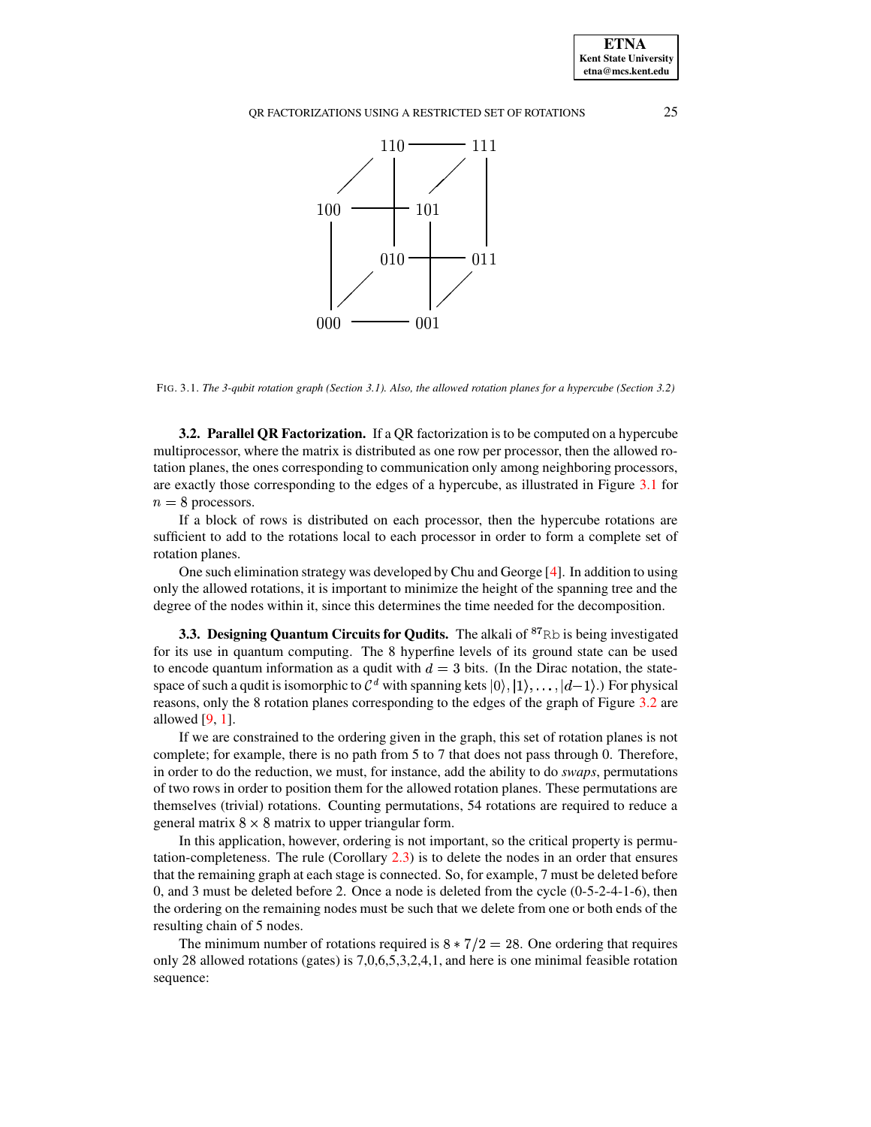QR FACTORIZATIONS USING A RESTRICTED SET OF ROTATIONS 25



<span id="page-5-0"></span>FIG. 3.1. The 3-qubit rotation graph (Section 3.1). Also, the allowed rotation planes for a hypercube (Section 3.2)

**3.2. Parallel QR Factorization.** If a QR factorization is to be computed on a hypercube multiprocessor, where the matrix is distributed as one row per processor, then the allowed rotation planes, the ones corresponding to communication only among neighboring processors, are exactly those corresponding to the edges of a hypercube, as illustrated in Figure [3.1](#page-5-0) for  $n=8$  processors.

If a block of rows is distributed on each processor, then the hypercube rotations are sufficient to add to the rotations local to each processor in order to form a complete set of rotation planes.

One such elimination strategy was developed by Chu and George [\[4\]](#page-7-7). In addition to using only the allowed rotations, it is important to minimize the height of the spanning tree and the degree of the nodes within it, since this determines the time needed for the decomposition.

**3.3. Designing Quantum Circuits for Qudits.** The alkali of <sup>87</sup>Rb is being investigated for its use in quantum computing. The 8 hyperfine levels of its ground state can be used to encode quantum information as a qudit with  $d=3$  bits. (In the Dirac notation, the statespace of such a qudit is isomorphic to  $\mathcal{C}^d$  with spanning kets  $|0\rangle, |1\rangle, \ldots, |d-1\rangle$ .) For physical space  $\zeta$  is the  $\zeta$  of  $\zeta$  and  $\zeta$ . reasons, only the 8 rotation planes corresponding to the edges of the graph of Figure [3.2](#page-6-0) are allowed  $[9, 1]$  $[9, 1]$  $[9, 1]$ .

If we are constrained to the ordering given in the graph, this set of rotation planes is not complete; for example, there is no path from 5 to 7 that does not pass through 0. Therefore, in order to do the reduction, we must, for instance, add the ability to do *swaps*, permutations of two rows in order to position them for the allowed rotation planes. These permutations are themselves (trivial) rotations. Counting permutations, 54 rotations are required to reduce a general matrix  $8 \times 8$  matrix to upper triangular form.

In this application, however, ordering is not important, so the critical property is permutation-completeness. The rule (Corollary [2.3\)](#page-3-0) is to delete the nodes in an order that ensures that the remaining graph at each stage is connected. So, for example, 7 must be deleted before 0, and 3 must be deleted before 2. Once a node is deleted from the cycle (0-5-2-4-1-6), then the ordering on the remaining nodes must be such that we delete from one or both ends of the resulting chain of 5 nodes.

The minimum number of rotations required is  $8 * 7/2 = 28$ . One ordering that requires only 28 allowed rotations (gates) is 7,0,6,5,3,2,4,1, and here is one minimal feasible rotation sequence:

**ETNA Kent State University etna@mcs.kent.edu**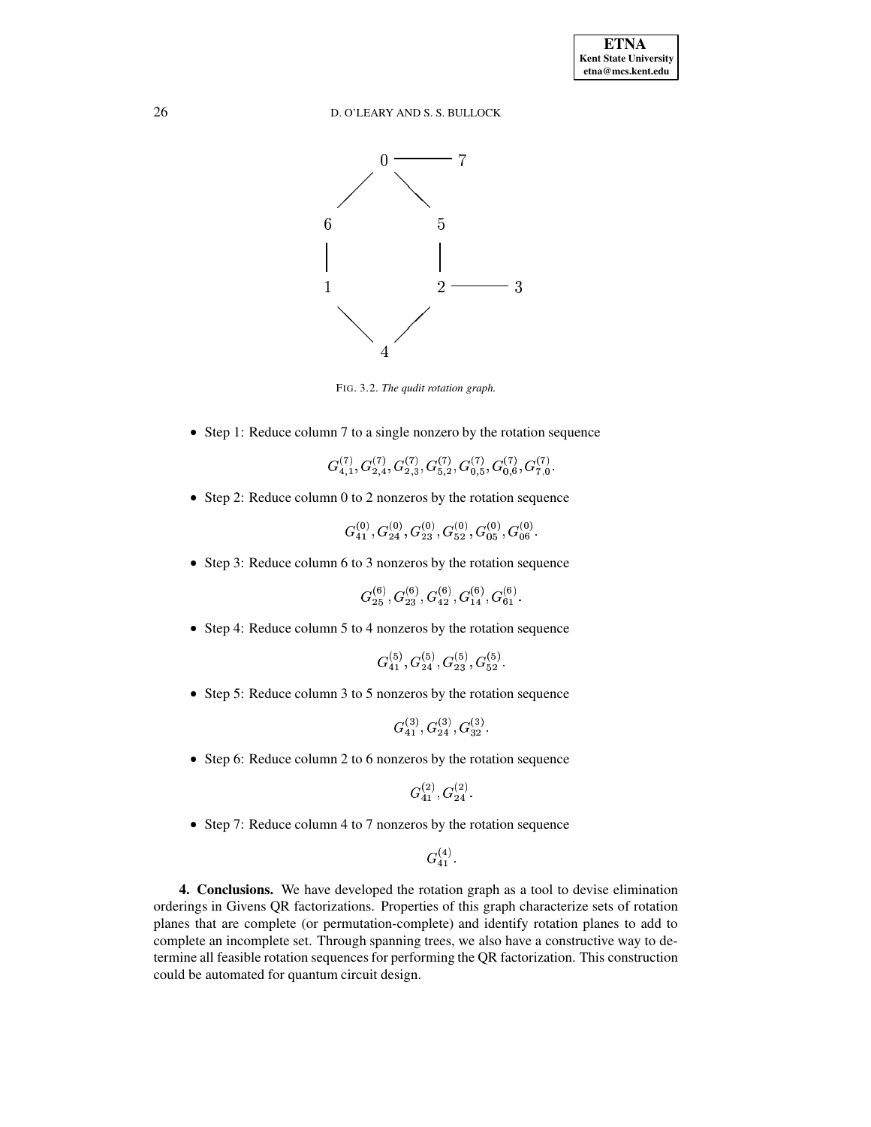# 26 D. O'LEARY AND S. S. BULLOCK



<span id="page-6-0"></span>FIG. 3.2. *The qudit rotation graph.*

• Step 1: Reduce column 7 to a single nonzero by the rotation sequence

$$
G_{4,1}^{(7)}, G_{2,4}^{(7)}, G_{2,3}^{(7)}, G_{5,2}^{(7)}, G_{0,5}^{(7)}, G_{0,6}^{(7)}, G_{7,0}^{(7)}.
$$

• Step 2: Reduce column 0 to 2 nonzeros by the rotation sequence

$$
G_{41}^{(0)}, G_{24}^{(0)}, G_{23}^{(0)}, G_{52}^{(0)}, G_{05}^{(0)}, G_{06}^{(0)}.
$$

• Step 3: Reduce column 6 to 3 nonzeros by the rotation sequence

$$
G_{25}^{(6)}, G_{23}^{(6)}, G_{42}^{(6)}, G_{14}^{(6)}, G_{61}^{(6)}.
$$

• Step 4: Reduce column 5 to 4 nonzeros by the rotation sequence

$$
G_{41}^{(5)}, G_{24}^{(5)}, G_{23}^{(5)}, G_{52}^{(5)}.
$$

• Step 5: Reduce column 3 to 5 nonzeros by the rotation sequence

$$
G_{41}^{(3)}, G_{24}^{(3)}, G_{32}^{(3)}.\nonumber \\
$$

• Step 6: Reduce column 2 to 6 nonzeros by the rotation sequence

$$
G_{41}^{(2)}, G_{24}^{(2)}.\,
$$

• Step 7: Reduce column 4 to 7 nonzeros by the rotation sequence

 $G_{41}^{(4)}$ .

**4. Conclusions.** We have developed the rotation graph as a tool to devise elimination orderings in Givens QR factorizations. Properties of this graph characterize sets of rotation planes that are complete (or permutation-complete) and identify rotation planes to add to complete an incomplete set. Through spanning trees, we also have a constructive way to determine all feasible rotation sequences for performing the QR factorization. This construction could be automated for quantum circuit design.